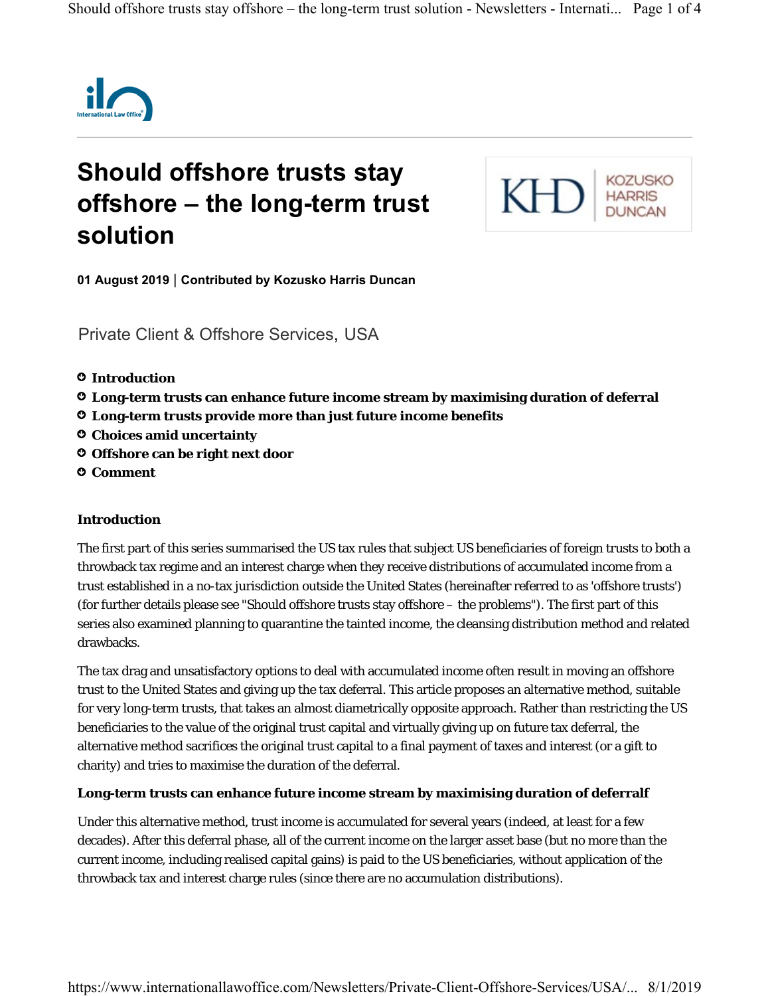

# **Should offshore trusts stay offshore – the long-term trust solution**



**01 August 2019 Contributed by Kozusko Harris Duncan** |

Private Client & Offshore Services, USA

- **Introduction** ○
- **Long-term trusts can enhance future income stream by maximising duration of deferral** ○
- **Long-term trusts provide more than just future income benefits** ○
- **Choices amid uncertainty** ○
- **Offshore can be right next door** ○
- **Comment** ○

## **Introduction**

The first part of this series summarised the US tax rules that subject US beneficiaries of foreign trusts to both a throwback tax regime and an interest charge when they receive distributions of accumulated income from a trust established in a no-tax jurisdiction outside the United States (hereinafter referred to as 'offshore trusts') (for further details please see "Should offshore trusts stay offshore – the problems"). The first part of this series also examined planning to quarantine the tainted income, the cleansing distribution method and related drawbacks.

The tax drag and unsatisfactory options to deal with accumulated income often result in moving an offshore trust to the United States and giving up the tax deferral. This article proposes an alternative method, suitable for very long-term trusts, that takes an almost diametrically opposite approach. Rather than restricting the US beneficiaries to the value of the original trust capital and virtually giving up on future tax deferral, the alternative method sacrifices the original trust capital to a final payment of taxes and interest (or a gift to charity) and tries to maximise the duration of the deferral.

## **Long-term trusts can enhance future income stream by maximising duration of deferralf**

Under this alternative method, trust income is accumulated for several years (indeed, at least for a few decades). After this deferral phase, all of the current income on the larger asset base (but no more than the current income, including realised capital gains) is paid to the US beneficiaries, without application of the throwback tax and interest charge rules (since there are no accumulation distributions).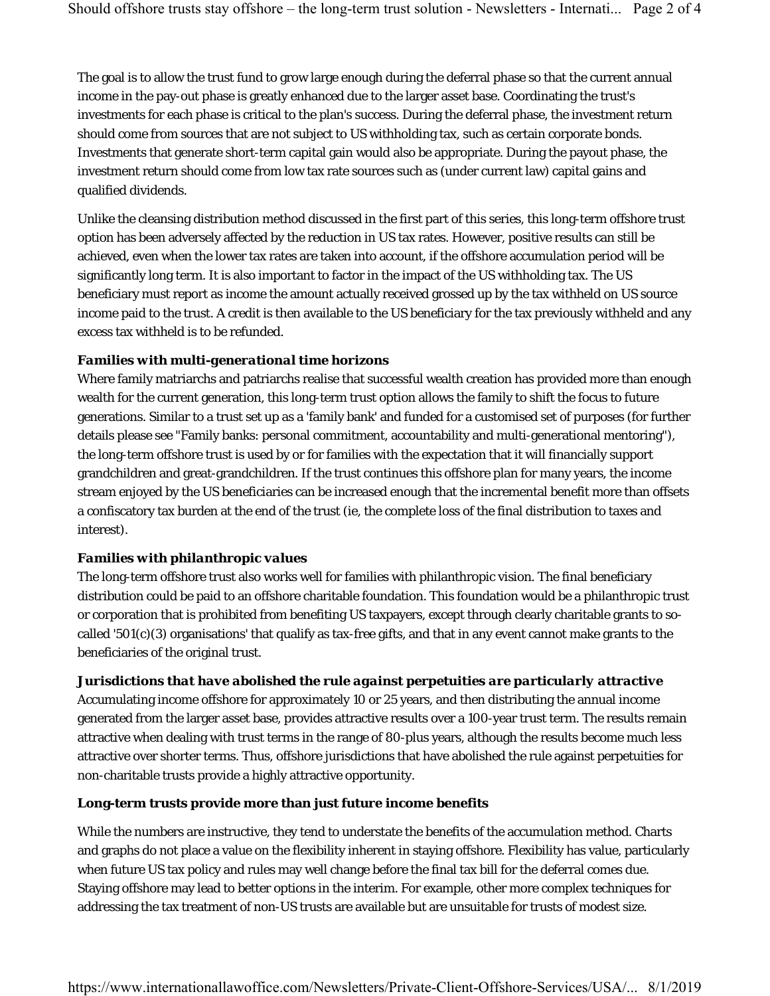The goal is to allow the trust fund to grow large enough during the deferral phase so that the current annual income in the pay-out phase is greatly enhanced due to the larger asset base. Coordinating the trust's investments for each phase is critical to the plan's success. During the deferral phase, the investment return should come from sources that are not subject to US withholding tax, such as certain corporate bonds. Investments that generate short-term capital gain would also be appropriate. During the payout phase, the investment return should come from low tax rate sources such as (under current law) capital gains and qualified dividends.

Unlike the cleansing distribution method discussed in the first part of this series, this long-term offshore trust option has been adversely affected by the reduction in US tax rates. However, positive results can still be achieved, even when the lower tax rates are taken into account, if the offshore accumulation period will be significantly long term. It is also important to factor in the impact of the US withholding tax. The US beneficiary must report as income the amount actually received grossed up by the tax withheld on US source income paid to the trust. A credit is then available to the US beneficiary for the tax previously withheld and any excess tax withheld is to be refunded.

## *Families with multi-generational time horizons*

Where family matriarchs and patriarchs realise that successful wealth creation has provided more than enough wealth for the current generation, this long-term trust option allows the family to shift the focus to future generations. Similar to a trust set up as a 'family bank' and funded for a customised set of purposes (for further details please see "Family banks: personal commitment, accountability and multi-generational mentoring"), the long-term offshore trust is used by or for families with the expectation that it will financially support grandchildren and great-grandchildren. If the trust continues this offshore plan for many years, the income stream enjoyed by the US beneficiaries can be increased enough that the incremental benefit more than offsets a confiscatory tax burden at the end of the trust (ie, the complete loss of the final distribution to taxes and interest).

## *Families with philanthropic values*

The long-term offshore trust also works well for families with philanthropic vision. The final beneficiary distribution could be paid to an offshore charitable foundation. This foundation would be a philanthropic trust or corporation that is prohibited from benefiting US taxpayers, except through clearly charitable grants to socalled '501(c)(3) organisations' that qualify as tax-free gifts, and that in any event cannot make grants to the beneficiaries of the original trust.

## *Jurisdictions that have abolished the rule against perpetuities are particularly attractive*

Accumulating income offshore for approximately 10 or 25 years, and then distributing the annual income generated from the larger asset base, provides attractive results over a 100-year trust term. The results remain attractive when dealing with trust terms in the range of 80-plus years, although the results become much less attractive over shorter terms. Thus, offshore jurisdictions that have abolished the rule against perpetuities for non-charitable trusts provide a highly attractive opportunity.

## **Long-term trusts provide more than just future income benefits**

While the numbers are instructive, they tend to understate the benefits of the accumulation method. Charts and graphs do not place a value on the flexibility inherent in staying offshore. Flexibility has value, particularly when future US tax policy and rules may well change before the final tax bill for the deferral comes due. Staying offshore may lead to better options in the interim. For example, other more complex techniques for addressing the tax treatment of non-US trusts are available but are unsuitable for trusts of modest size.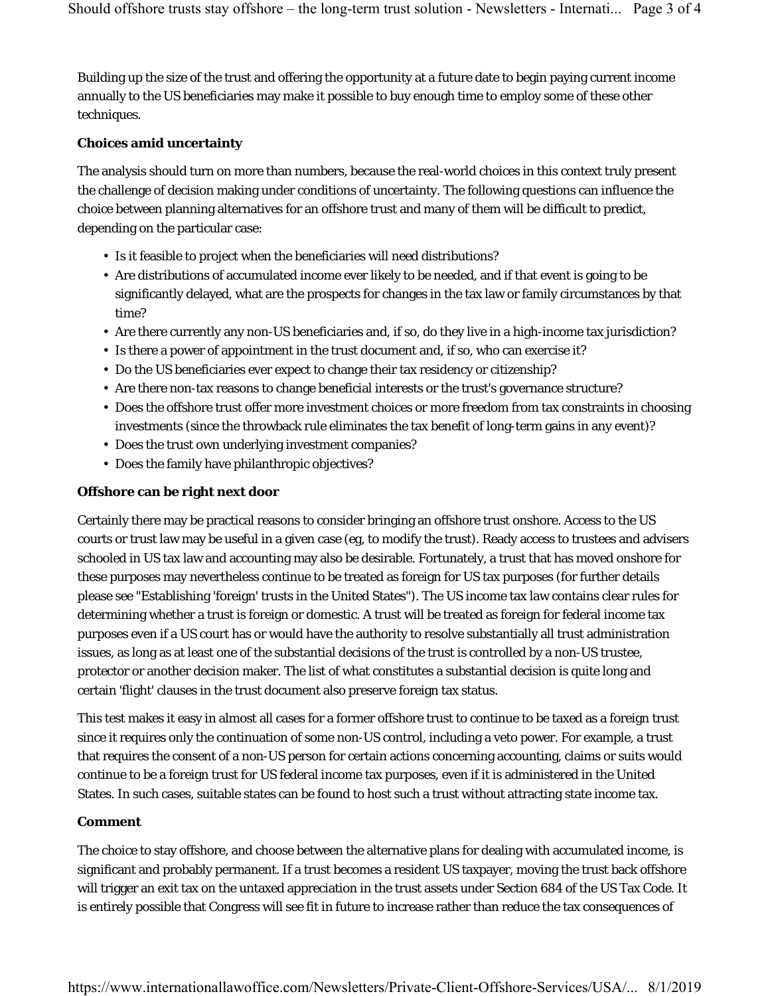Building up the size of the trust and offering the opportunity at a future date to begin paying current income annually to the US beneficiaries may make it possible to buy enough time to employ some of these other techniques.

#### **Choices amid uncertainty**

The analysis should turn on more than numbers, because the real-world choices in this context truly present the challenge of decision making under conditions of uncertainty. The following questions can influence the choice between planning alternatives for an offshore trust and many of them will be difficult to predict, depending on the particular case:

- Is it feasible to project when the beneficiaries will need distributions?
- Are distributions of accumulated income ever likely to be needed, and if that event is going to be significantly delayed, what are the prospects for changes in the tax law or family circumstances by that time?
- Are there currently any non-US beneficiaries and, if so, do they live in a high-income tax jurisdiction?
- Is there a power of appointment in the trust document and, if so, who can exercise it?
- Do the US beneficiaries ever expect to change their tax residency or citizenship?
- Are there non-tax reasons to change beneficial interests or the trust's governance structure?
- Does the offshore trust offer more investment choices or more freedom from tax constraints in choosing investments (since the throwback rule eliminates the tax benefit of long-term gains in any event)?
- Does the trust own underlying investment companies?
- Does the family have philanthropic objectives?

## **Offshore can be right next door**

Certainly there may be practical reasons to consider bringing an offshore trust onshore. Access to the US courts or trust law may be useful in a given case (eg, to modify the trust). Ready access to trustees and advisers schooled in US tax law and accounting may also be desirable. Fortunately, a trust that has moved onshore for these purposes may nevertheless continue to be treated as foreign for US tax purposes (for further details please see "Establishing 'foreign' trusts in the United States"). The US income tax law contains clear rules for determining whether a trust is foreign or domestic. A trust will be treated as foreign for federal income tax purposes even if a US court has or would have the authority to resolve substantially all trust administration issues, as long as at least one of the substantial decisions of the trust is controlled by a non-US trustee, protector or another decision maker. The list of what constitutes a substantial decision is quite long and certain 'flight' clauses in the trust document also preserve foreign tax status.

This test makes it easy in almost all cases for a former offshore trust to continue to be taxed as a foreign trust since it requires only the continuation of some non-US control, including a veto power. For example, a trust that requires the consent of a non-US person for certain actions concerning accounting, claims or suits would continue to be a foreign trust for US federal income tax purposes, even if it is administered in the United States. In such cases, suitable states can be found to host such a trust without attracting state income tax.

## **Comment**

The choice to stay offshore, and choose between the alternative plans for dealing with accumulated income, is significant and probably permanent. If a trust becomes a resident US taxpayer, moving the trust back offshore will trigger an exit tax on the untaxed appreciation in the trust assets under Section 684 of the US Tax Code. It is entirely possible that Congress will see fit in future to increase rather than reduce the tax consequences of